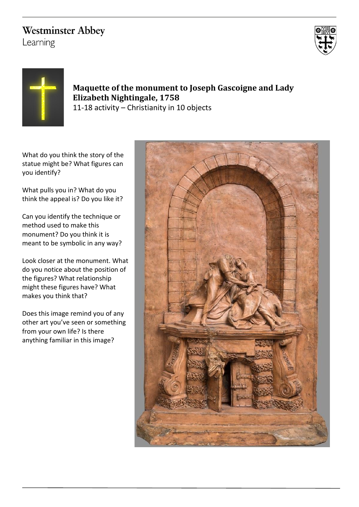# **Westminster Abbey**

Learning





## **Maquette of the monument to Joseph Gascoigne and Lady Elizabeth Nightingale, 1758** 11-18 activity – Christianity in 10 objects

What do you think the story of the statue might be? What figures can you identify?

What pulls you in? What do you think the appeal is? Do you like it?

Can you identify the technique or method used to make this monument? Do you think it is meant to be symbolic in any way?

Look closer at the monument. What do you notice about the position of the figures? What relationship might these figures have? What makes you think that?

Does this image remind you of any other art you've seen or something from your own life? Is there anything familiar in this image?

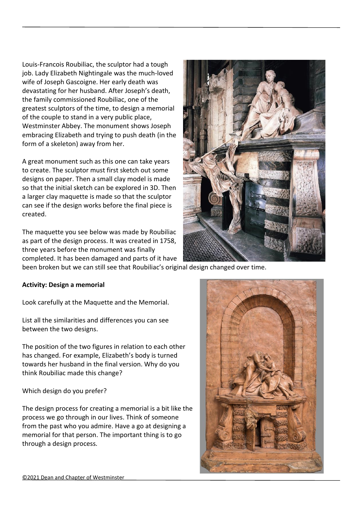Louis-Francois Roubiliac, the sculptor had a tough job. Lady Elizabeth Nightingale was the much-loved wife of Joseph Gascoigne. Her early death was devastating for her husband. After Joseph's death, the family commissioned Roubiliac, one of the greatest sculptors of the time, to design a memorial of the couple to stand in a very public place, Westminster Abbey. The monument shows Joseph embracing Elizabeth and trying to push death (in the form of a skeleton) away from her.

A great monument such as this one can take years to create. The sculptor must first sketch out some designs on paper. Then a small clay model is made so that the initial sketch can be explored in 3D. Then a larger clay maquette is made so that the sculptor can see if the design works before the final piece is created.

The maquette you see below was made by Roubiliac as part of the design process. It was created in 1758, three years before the monument was finally completed. It has been damaged and parts of it have



been broken but we can still see that Roubiliac's original design changed over time.

#### **Activity: Design a memorial**

Look carefully at the Maquette and the Memorial.

List all the similarities and differences you can see between the two designs.

The position of the two figures in relation to each other has changed. For example, Elizabeth's body is turned towards her husband in the final version. Why do you think Roubiliac made this change?

#### Which design do you prefer?

The design process for creating a memorial is a bit like the process we go through in our lives. Think of someone from the past who you admire. Have a go at designing a memorial for that person. The important thing is to go through a design process.